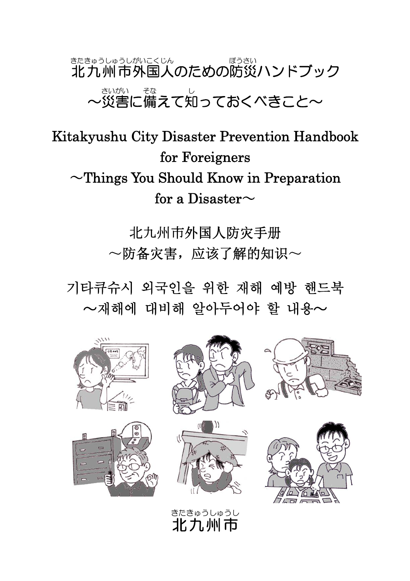## 北九州市 きたきゅうしゅうし 外国人 がいこくじん のための防災 ぼうさい ハンドブック ~災害 さいがい に備 そな えて知 し っておくべきこと~

Kitakyushu City Disaster Prevention Handbook for Foreigners  $\sim$ Things You Should Know in Preparation for a Disaster $\sim$ 

> 北九州市外国人防灾手册 ~防备灾害,应该了解的知识~

기타큐슈시 외국인을 위한 재해 예방 핸드북  $\sim$ 재해에 대비해 알아두어야 할 내용 $\sim$ 

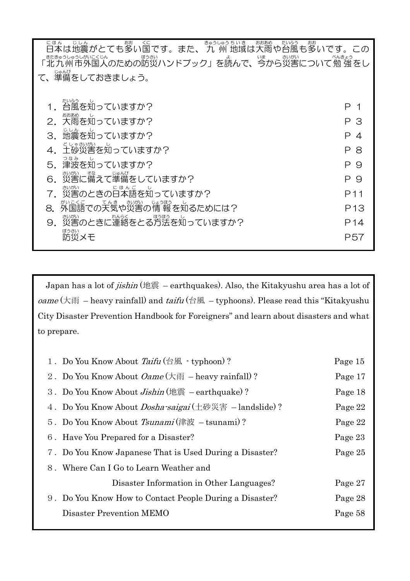| にほん<br>まん、じし。<br> 本は地震がとても多い国です。また、 九 州 地域は大雨や台風も多いです。この                |                 |  |  |  |
|-------------------------------------------------------------------------|-----------------|--|--|--|
| - <sub>またもうしゅうしかにくい。</sub><br>「北九州市外国人のための防災ハンドブック」を読んで、今から災害について勉 強 をし |                 |  |  |  |
| て、準備をしておきましょう。                                                          |                 |  |  |  |
| たいふう                                                                    |                 |  |  |  |
| 台風を知っていますか?                                                             | P 1             |  |  |  |
| おおあめ<br>大雨を知っていますか?                                                     | ΡЗ              |  |  |  |
| じしん<br>地震を知っていますか?<br>3.                                                | P 4             |  |  |  |
| 4. 土砂災害を知っていますか?                                                        | Р8              |  |  |  |
| つなみ<br>津波を知っていますか?                                                      | Р9              |  |  |  |
| 、<br>災害に備えて準備をしていますか?                                                   | P 9             |  |  |  |
| さいがい<br>。<br>災害のときの日本語を知っていますか?                                         | P <sub>11</sub> |  |  |  |
| てんき<br>がいこくご<br>さいがい<br>じょうほう<br>外国語での天気や災害の情報を知るためには?<br>8.            | P <sub>13</sub> |  |  |  |
| 。<br>災害のときに運絡をとる方法を知っていますか?<br>9.                                       | P <sub>14</sub> |  |  |  |
| ぼうさい<br>防災メモ                                                            | P57             |  |  |  |
|                                                                         |                 |  |  |  |

Japan has a lot of jishin (地震 – earthquakes). Also, the Kitakyushu area has a lot of oame  $(\nparallel \mathbb{R}$  – heavy rainfall) and  $\textit{tail}($  台風 – typhoons). Please read this "Kitakyushu City Disaster Prevention Handbook for Foreigners" and learn about disasters and what to prepare.

| 1. Do You Know About Taifu (台風 · typhoon)?                                                              | Page 15 |
|---------------------------------------------------------------------------------------------------------|---------|
| 2. Do You Know About <i>Oame</i> ( $\overline{\mathcal{R}}$ $\overline{\mathcal{R}}$ – heavy rainfall)? | Page 17 |
| 3. Do You Know About <i>Jishin</i> (地震 – earthquake)?                                                   | Page 18 |
| 4. Do You Know About <i>Dosha-saigai</i> (土砂災害 – landslide)?                                            | Page 22 |
| 5. Do You Know About <i>Tsunami</i> (津波 – tsunami)?                                                     | Page 22 |
| 6. Have You Prepared for a Disaster?                                                                    | Page 23 |
| 7. Do You Know Japanese That is Used During a Disaster?                                                 | Page 25 |
| 8. Where Can I Go to Learn Weather and                                                                  |         |
| Disaster Information in Other Languages?                                                                | Page 27 |
| 9. Do You Know How to Contact People During a Disaster?                                                 | Page 28 |
| Disaster Prevention MEMO                                                                                | Page 58 |
|                                                                                                         |         |